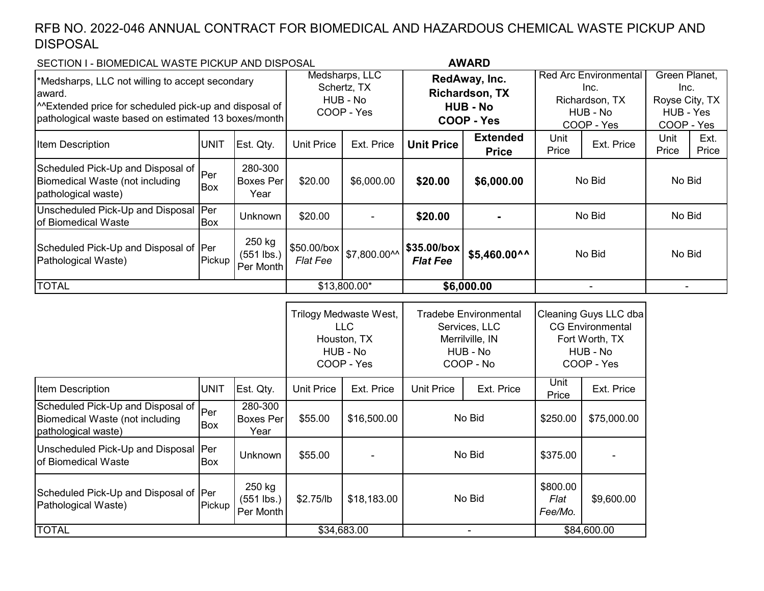## RFB NO. 2022-046 ANNUAL CONTRACT FOR BIOMEDICAL AND HAZARDOUS CHEMICAL WASTE PICKUP AND DISPOSAL

## SECTION I - BIOMEDICAL WASTE PICKUP AND DISPOSAL

Item Description **Extended** UNIT Est. Qty. Unit Price Ext. Price Unit Price **Extended Price** Unit Unit<br>Price Ext. Price Drice Price Ext. Price Scheduled Pick-Up and Disposal of Biomedical Waste (not including pathological waste) Per Box 280-300 Boxes Per Year \$20.00 \$6,000.00 **\$20.00 \$6,000.00** Unscheduled Pick-Up and Disposal of Biomedical Waste **Per** Box Unknown \$20.00 - **\$20.00 -** Scheduled Pick-Up and Disposal of Per Pathological Waste) Pickup 250 kg (551 lbs.) Per Month \$50.00/box *Flat Fee* \$7,800.00^^ **\$35.00/box** *Flat Fee* **\$5,460.00^^** Medsharps, LLC Schertz, TX HUB - No COOP - Yes **RedAway, Inc. Richardson, TX HUB - No COOP - Yes** - \$13,800.00\* **\$6,000.00** TOTAL | \$13,800.00\* | **\$6,000.00** | - | -\*Medsharps, LLC not willing to accept secondary award. ^^Extended price for scheduled pick-up and disposal of pathological waste based on estimated 13 boxes/month **AWARD** No Bid No Bid No Bid Green Planet, Inc. Royse City, TX HUB - Yes COOP - Yes No Bid No Bid Red Arc Environmental Inc. Richardson, TX HUB - No COOP - Yes No Bid

|                                                                                             |             |                                     |                   | Trilogy Medwaste West,<br>LLC.<br>Houston, TX<br>HUB - No<br>COOP - Yes | <b>Tradebe Environmental</b><br>Services, LLC<br>Merrilville, IN<br>HUB - No<br>COOP - No |                          | Cleaning Guys LLC dba<br><b>CG Environmental</b><br>Fort Worth, TX<br>HUB - No<br>COOP - Yes |             |  |
|---------------------------------------------------------------------------------------------|-------------|-------------------------------------|-------------------|-------------------------------------------------------------------------|-------------------------------------------------------------------------------------------|--------------------------|----------------------------------------------------------------------------------------------|-------------|--|
| Item Description                                                                            | <b>UNIT</b> | Est. Qty.                           | <b>Unit Price</b> | Ext. Price                                                              | <b>Unit Price</b>                                                                         | Ext. Price               | Unit<br>Price                                                                                | Ext. Price  |  |
| Scheduled Pick-Up and Disposal of<br>Biomedical Waste (not including<br>pathological waste) | Per<br>Box  | 280-300<br>Boxes Per<br>Year        | \$55.00           | \$16,500.00                                                             | No Bid                                                                                    |                          | \$250.00                                                                                     | \$75,000.00 |  |
| Unscheduled Pick-Up and Disposal   Per<br>of Biomedical Waste                               | Box         | Unknown                             | \$55.00           |                                                                         | No Bid                                                                                    |                          | \$375.00                                                                                     |             |  |
| Scheduled Pick-Up and Disposal of Per<br>Pathological Waste)                                | Pickup      | 250 kg<br>$(551$ lbs.)<br>Per Month | \$2.75/lb         | \$18,183.00                                                             | No Bid                                                                                    |                          | \$800.00<br>Flat<br>Fee/Mo.                                                                  | \$9,600.00  |  |
| <b>TOTAL</b>                                                                                |             |                                     |                   | \$34,683.00                                                             |                                                                                           | $\overline{\phantom{0}}$ | \$84,600.00                                                                                  |             |  |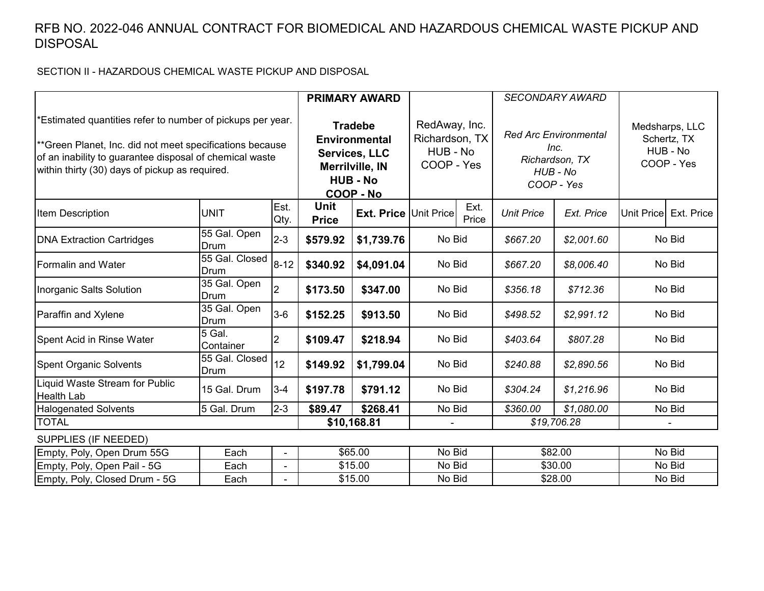## RFB NO. 2022-046 ANNUAL CONTRACT FOR BIOMEDICAL AND HAZARDOUS CHEMICAL WASTE PICKUP AND DISPOSAL

SECTION II - HAZARDOUS CHEMICAL WASTE PICKUP AND DISPOSAL

|                                                                                                                                                                                                                                     |                        |                |                                                                                                                          | <b>PRIMARY AWARD</b>         |                                                           |               |                                                                                  | <b>SECONDARY AWARD</b> |                                                         |            |
|-------------------------------------------------------------------------------------------------------------------------------------------------------------------------------------------------------------------------------------|------------------------|----------------|--------------------------------------------------------------------------------------------------------------------------|------------------------------|-----------------------------------------------------------|---------------|----------------------------------------------------------------------------------|------------------------|---------------------------------------------------------|------------|
| *Estimated quantities refer to number of pickups per year.<br>**Green Planet, Inc. did not meet specifications because<br>of an inability to guarantee disposal of chemical waste<br>within thirty (30) days of pickup as required. |                        |                | <b>Tradebe</b><br><b>Environmental</b><br><b>Services, LLC</b><br><b>Merrilville, IN</b><br><b>HUB - No</b><br>COOP - No |                              | RedAway, Inc.<br>Richardson, TX<br>HUB - No<br>COOP - Yes |               | <b>Red Arc Environmental</b><br>Inc.<br>Richardson, TX<br>HUB - No<br>COOP - Yes |                        | Medsharps, LLC<br>Schertz, TX<br>HUB - No<br>COOP - Yes |            |
| Item Description                                                                                                                                                                                                                    | <b>UNIT</b>            | Est.<br>Qty.   | <b>Unit</b><br><b>Price</b>                                                                                              | <b>Ext. Price Unit Price</b> |                                                           | Ext.<br>Price | <b>Unit Price</b>                                                                | Ext. Price             | Unit Price                                              | Ext. Price |
| <b>DNA Extraction Cartridges</b>                                                                                                                                                                                                    | 55 Gal. Open<br>Drum   | $2 - 3$        | \$579.92                                                                                                                 | \$1,739.76                   | No Bid                                                    |               | \$667.20                                                                         | \$2,001.60             | No Bid                                                  |            |
| <b>Formalin and Water</b>                                                                                                                                                                                                           | 55 Gal. Closed<br>Drum | $8 - 12$       | \$340.92                                                                                                                 | \$4,091.04                   | No Bid                                                    |               | \$667.20                                                                         | \$8,006.40             | No Bid                                                  |            |
| Inorganic Salts Solution                                                                                                                                                                                                            | 35 Gal. Open<br>Drum   | $\overline{2}$ | \$173.50                                                                                                                 | \$347.00                     | No Bid                                                    |               | \$356.18                                                                         | \$712.36               | No Bid                                                  |            |
| Paraffin and Xylene                                                                                                                                                                                                                 | 35 Gal. Open<br>Drum   | $3-6$          | \$152.25                                                                                                                 | \$913.50                     | No Bid<br>\$498.52<br>\$2,991.12                          |               | No Bid                                                                           |                        |                                                         |            |
| Spent Acid in Rinse Water                                                                                                                                                                                                           | 5 Gal.<br>Container    | $\overline{2}$ | \$109.47                                                                                                                 | \$218.94                     | No Bid                                                    |               | \$403.64                                                                         | \$807.28               | No Bid                                                  |            |
| <b>Spent Organic Solvents</b>                                                                                                                                                                                                       | 55 Gal. Closed<br>Drum | 12             | \$149.92                                                                                                                 | \$1,799.04                   | No Bid                                                    |               | \$240.88                                                                         | \$2,890.56             | No Bid                                                  |            |
| Liquid Waste Stream for Public<br><b>Health Lab</b>                                                                                                                                                                                 | 15 Gal. Drum           | $3 - 4$        | \$197.78                                                                                                                 | \$791.12                     | No Bid                                                    |               | \$304.24                                                                         | \$1,216.96             | No Bid                                                  |            |
| <b>Halogenated Solvents</b>                                                                                                                                                                                                         | 5 Gal. Drum            | $2 - 3$        | \$89.47                                                                                                                  | \$268.41                     | No Bid                                                    |               | \$360.00                                                                         | \$1,080.00             |                                                         | No Bid     |
| <b>TOTAL</b>                                                                                                                                                                                                                        |                        |                |                                                                                                                          | \$10,168.81                  |                                                           |               |                                                                                  | \$19,706.28            |                                                         |            |
| SUPPLIES (IF NEEDED)                                                                                                                                                                                                                |                        |                |                                                                                                                          |                              |                                                           |               |                                                                                  |                        |                                                         |            |
| Empty, Poly, Open Drum 55G                                                                                                                                                                                                          | Each                   | $\blacksquare$ | \$65.00                                                                                                                  |                              | No Bid                                                    |               | \$82.00                                                                          |                        | No Bid                                                  |            |
| Empty, Poly, Open Pail - 5G                                                                                                                                                                                                         | Each                   |                | \$15.00                                                                                                                  |                              | No Bid                                                    |               | \$30.00                                                                          |                        | No Bid                                                  |            |
| Empty, Poly, Closed Drum - 5G                                                                                                                                                                                                       | Each                   | $\blacksquare$ | \$15.00<br>\$28.00<br>No Bid                                                                                             |                              |                                                           |               | No Bid                                                                           |                        |                                                         |            |